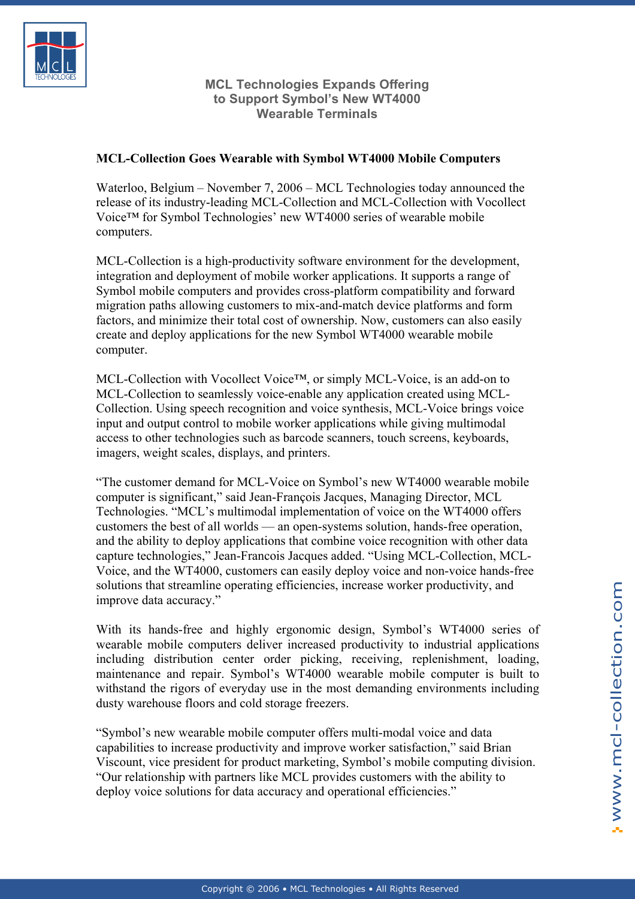

## **MCL Technologies Expands Offering to Support Symbol's New WT4000 Wearable Terminals**

## **MCL-Collection Goes Wearable with Symbol WT4000 Mobile Computers**

Waterloo, Belgium – November 7, 2006 – MCL Technologies today announced the release of its industry-leading MCL-Collection and MCL-Collection with Vocollect Voice™ for Symbol Technologies' new WT4000 series of wearable mobile computers.

MCL-Collection is a high-productivity software environment for the development, integration and deployment of mobile worker applications. It supports a range of Symbol mobile computers and provides cross-platform compatibility and forward migration paths allowing customers to mix-and-match device platforms and form factors, and minimize their total cost of ownership. Now, customers can also easily create and deploy applications for the new Symbol WT4000 wearable mobile computer.

MCL-Collection with Vocollect Voice™, or simply MCL-Voice, is an add-on to MCL-Collection to seamlessly voice-enable any application created using MCL-Collection. Using speech recognition and voice synthesis, MCL-Voice brings voice input and output control to mobile worker applications while giving multimodal access to other technologies such as barcode scanners, touch screens, keyboards, imagers, weight scales, displays, and printers.

"The customer demand for MCL-Voice on Symbol's new WT4000 wearable mobile computer is significant," said Jean-François Jacques, Managing Director, MCL Technologies. "MCL's multimodal implementation of voice on the WT4000 offers customers the best of all worlds — an open-systems solution, hands-free operation, and the ability to deploy applications that combine voice recognition with other data capture technologies," Jean-Francois Jacques added. "Using MCL-Collection, MCL-Voice, and the WT4000, customers can easily deploy voice and non-voice hands-free solutions that streamline operating efficiencies, increase worker productivity, and improve data accuracy."

With its hands-free and highly ergonomic design, Symbol's WT4000 series of wearable mobile computers deliver increased productivity to industrial applications including distribution center order picking, receiving, replenishment, loading, maintenance and repair. Symbol's WT4000 wearable mobile computer is built to withstand the rigors of everyday use in the most demanding environments including dusty warehouse floors and cold storage freezers.

"Symbol's new wearable mobile computer offers multi-modal voice and data capabilities to increase productivity and improve worker satisfaction," said Brian Viscount, vice president for product marketing, Symbol's mobile computing division. "Our relationship with partners like MCL provides customers with the ability to deploy voice solutions for data accuracy and operational efficiencies."